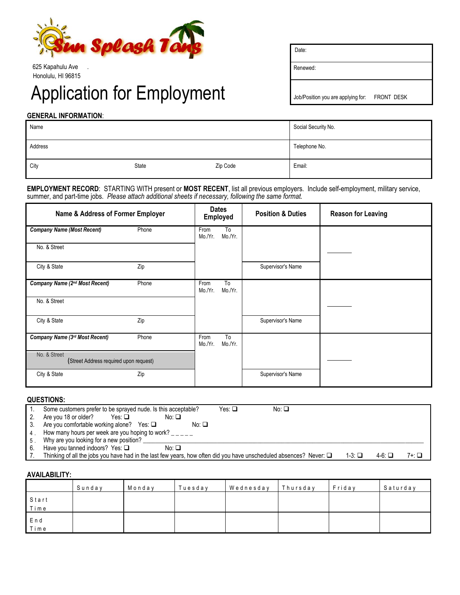

625 Kapahulu Ave . Renewed: Honolulu, HI 96815

# Application for Employment Job/Position you are applying for: FRONT DESK

Date:

## **GENERAL INFORMATION**:

| Name    |       |          | Social Security No. |
|---------|-------|----------|---------------------|
| Address |       |          | Telephone No.       |
| City    | State | Zip Code | Email:              |

**EMPLOYMENT RECORD**: STARTING WITH present or **MOST RECENT**, list all previous employers. Include self-employment, military service, summer, and part-time jobs. *Please attach additional sheets if necessary, following the same format.*

| Name & Address of Former Employer                      |       | <b>Dates</b><br>Employed         | <b>Position &amp; Duties</b> | <b>Reason for Leaving</b> |  |
|--------------------------------------------------------|-------|----------------------------------|------------------------------|---------------------------|--|
| <b>Company Name (Most Recent)</b>                      | Phone | To<br>From<br>Mo./Yr.<br>Mo./Yr. |                              |                           |  |
| No. & Street                                           |       |                                  |                              |                           |  |
| City & State                                           | Zip   |                                  | Supervisor's Name            |                           |  |
| Company Name (2nd Most Recent)                         | Phone | From<br>To<br>Mo./Yr.<br>Mo./Yr. |                              |                           |  |
| No. & Street                                           |       |                                  |                              |                           |  |
| City & State                                           | Zip   |                                  | Supervisor's Name            |                           |  |
| Company Name (3rd Most Recent)                         | Phone | From<br>To<br>Mo./Yr.<br>Mo./Yr. |                              |                           |  |
| No. & Street<br>(Street Address required upon request) |       |                                  |                              |                           |  |
| City & State                                           | Zip   |                                  | Supervisor's Name            |                           |  |

### **QUESTIONS:**

|                | Some customers prefer to be sprayed nude. Is this acceptable?<br>Yes: □<br>No: $\Box$                                                                        |  |
|----------------|--------------------------------------------------------------------------------------------------------------------------------------------------------------|--|
|                | Are you 18 or older?<br>Yes: □<br>No: □                                                                                                                      |  |
| -3.            | Are you comfortable working alone? Yes: $\Box$<br>No: $\square$                                                                                              |  |
|                | How many hours per week are you hoping to work?                                                                                                              |  |
| 5 <sub>1</sub> | Why are you looking for a new position?                                                                                                                      |  |
| 6.             | Have you tanned indoors? Yes: $\square$<br>No: $\Box$                                                                                                        |  |
|                | Thinking of all the jobs you have had in the last few years, how often did you have unscheduled absences? Never: $\square$<br>$1-3: \Box$<br>4-6: □<br>7+: □ |  |

#### **AVAILABILITY:**

|               | Sunday | Monday | Tuesdav | Wednesday | Thursday | Friday | Saturday |
|---------------|--------|--------|---------|-----------|----------|--------|----------|
| Start<br>Time |        |        |         |           |          |        |          |
| End<br>Time   |        |        |         |           |          |        |          |